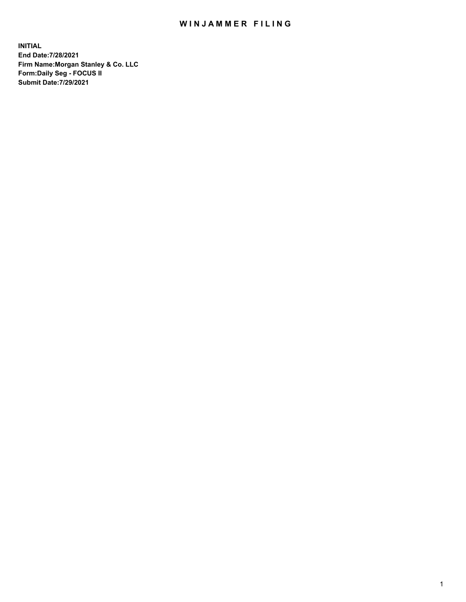## WIN JAMMER FILING

**INITIAL End Date:7/28/2021 Firm Name:Morgan Stanley & Co. LLC Form:Daily Seg - FOCUS II Submit Date:7/29/2021**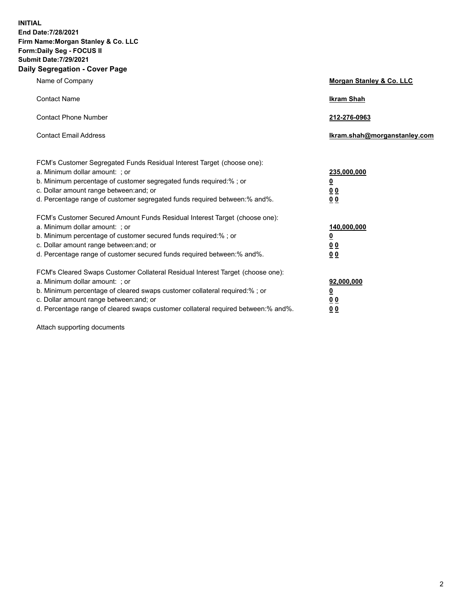**INITIAL End Date:7/28/2021 Firm Name:Morgan Stanley & Co. LLC Form:Daily Seg - FOCUS II Submit Date:7/29/2021 Daily Segregation - Cover Page**

| Name of Company                                                                                                                                                                                                                                                                                                                | Morgan Stanley & Co. LLC                               |
|--------------------------------------------------------------------------------------------------------------------------------------------------------------------------------------------------------------------------------------------------------------------------------------------------------------------------------|--------------------------------------------------------|
| <b>Contact Name</b>                                                                                                                                                                                                                                                                                                            | <b>Ikram Shah</b>                                      |
| <b>Contact Phone Number</b>                                                                                                                                                                                                                                                                                                    | 212-276-0963                                           |
| <b>Contact Email Address</b>                                                                                                                                                                                                                                                                                                   | Ikram.shah@morganstanley.com                           |
| FCM's Customer Segregated Funds Residual Interest Target (choose one):<br>a. Minimum dollar amount: ; or<br>b. Minimum percentage of customer segregated funds required:% ; or<br>c. Dollar amount range between: and; or<br>d. Percentage range of customer segregated funds required between:% and%.                         | 235,000,000<br><u>0</u><br>0 <sup>0</sup><br>00        |
| FCM's Customer Secured Amount Funds Residual Interest Target (choose one):<br>a. Minimum dollar amount: ; or<br>b. Minimum percentage of customer secured funds required:% ; or<br>c. Dollar amount range between: and; or<br>d. Percentage range of customer secured funds required between:% and%.                           | 140,000,000<br><u>0</u><br><u>00</u><br>0 <sub>0</sub> |
| FCM's Cleared Swaps Customer Collateral Residual Interest Target (choose one):<br>a. Minimum dollar amount: ; or<br>b. Minimum percentage of cleared swaps customer collateral required:% ; or<br>c. Dollar amount range between: and; or<br>d. Percentage range of cleared swaps customer collateral required between:% and%. | 92,000,000<br><u>0</u><br>0 Q<br>0 <sub>0</sub>        |

Attach supporting documents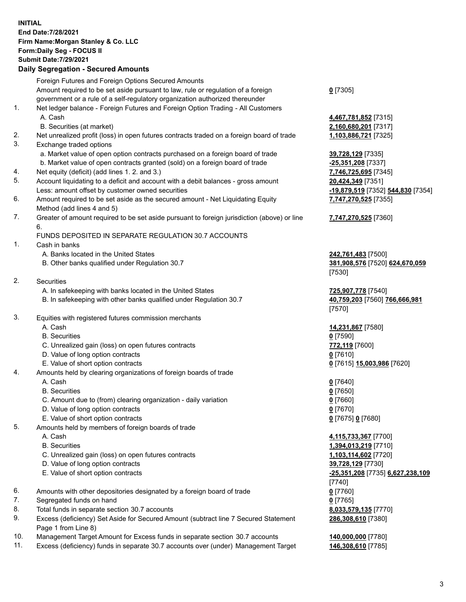## **INITIAL End Date:7/28/2021 Firm Name:Morgan Stanley & Co. LLC Form:Daily Seg - FOCUS II Submit Date:7/29/2021**

## **Daily Segregation - Secured Amounts**

|     | Foreign Futures and Foreign Options Secured Amounts                                         |                                   |
|-----|---------------------------------------------------------------------------------------------|-----------------------------------|
|     | Amount required to be set aside pursuant to law, rule or regulation of a foreign            | $0$ [7305]                        |
|     | government or a rule of a self-regulatory organization authorized thereunder                |                                   |
| 1.  | Net ledger balance - Foreign Futures and Foreign Option Trading - All Customers             |                                   |
|     | A. Cash                                                                                     | 4,467,781,852 [7315]              |
|     | B. Securities (at market)                                                                   | 2,160,680,201 [7317]              |
| 2.  | Net unrealized profit (loss) in open futures contracts traded on a foreign board of trade   | 1,103,886,721 [7325]              |
| 3.  | Exchange traded options                                                                     |                                   |
|     | a. Market value of open option contracts purchased on a foreign board of trade              | 39,728,129 [7335]                 |
|     | b. Market value of open contracts granted (sold) on a foreign board of trade                | -25,351,208 [7337]                |
| 4.  | Net equity (deficit) (add lines 1. 2. and 3.)                                               | 7,746,725,695 [7345]              |
| 5.  | Account liquidating to a deficit and account with a debit balances - gross amount           |                                   |
|     |                                                                                             | 20,424,349 [7351]                 |
| 6.  | Less: amount offset by customer owned securities                                            | -19,879,519 [7352] 544,830 [7354] |
|     | Amount required to be set aside as the secured amount - Net Liquidating Equity              | 7,747,270,525 [7355]              |
|     | Method (add lines 4 and 5)                                                                  |                                   |
| 7.  | Greater of amount required to be set aside pursuant to foreign jurisdiction (above) or line | 7,747,270,525 [7360]              |
|     | 6.                                                                                          |                                   |
|     | FUNDS DEPOSITED IN SEPARATE REGULATION 30.7 ACCOUNTS                                        |                                   |
| 1.  | Cash in banks                                                                               |                                   |
|     | A. Banks located in the United States                                                       | 242,761,483 [7500]                |
|     | B. Other banks qualified under Regulation 30.7                                              | 381,908,576 [7520] 624,670,059    |
|     |                                                                                             | [7530]                            |
| 2.  | Securities                                                                                  |                                   |
|     | A. In safekeeping with banks located in the United States                                   | 725,907,778 [7540]                |
|     | B. In safekeeping with other banks qualified under Regulation 30.7                          | 40,759,203 [7560] 766,666,981     |
|     |                                                                                             | [7570]                            |
| 3.  | Equities with registered futures commission merchants                                       |                                   |
|     | A. Cash                                                                                     | 14,231,867 [7580]                 |
|     | <b>B.</b> Securities                                                                        | $0$ [7590]                        |
|     | C. Unrealized gain (loss) on open futures contracts                                         | 772,119 [7600]                    |
|     | D. Value of long option contracts                                                           | $0$ [7610]                        |
|     | E. Value of short option contracts                                                          | 0 [7615] 15,003,986 [7620]        |
| 4.  | Amounts held by clearing organizations of foreign boards of trade                           |                                   |
|     | A. Cash                                                                                     | $0$ [7640]                        |
|     | <b>B.</b> Securities                                                                        | $0$ [7650]                        |
|     | C. Amount due to (from) clearing organization - daily variation                             | $0$ [7660]                        |
|     | D. Value of long option contracts                                                           | $0$ [7670]                        |
|     | E. Value of short option contracts                                                          | 0 [7675] 0 [7680]                 |
| 5.  | Amounts held by members of foreign boards of trade                                          |                                   |
|     | A. Cash                                                                                     | 4,115,733,367 [7700]              |
|     | <b>B.</b> Securities                                                                        | 1,394,013,219 [7710]              |
|     | C. Unrealized gain (loss) on open futures contracts                                         | 1,103,114,602 [7720]              |
|     | D. Value of long option contracts                                                           | 39,728,129 [7730]                 |
|     | E. Value of short option contracts                                                          | -25,351,208 [7735] 6,627,238,109  |
|     |                                                                                             | $[7740]$                          |
| 6.  | Amounts with other depositories designated by a foreign board of trade                      | $0$ [7760]                        |
| 7.  | Segregated funds on hand                                                                    | $0$ [7765]                        |
| 8.  | Total funds in separate section 30.7 accounts                                               | 8,033,579,135 [7770]              |
| 9.  | Excess (deficiency) Set Aside for Secured Amount (subtract line 7 Secured Statement         | 286,308,610 [7380]                |
|     | Page 1 from Line 8)                                                                         |                                   |
| 10. | Management Target Amount for Excess funds in separate section 30.7 accounts                 | 140,000,000 [7780]                |
|     |                                                                                             |                                   |

11. Excess (deficiency) funds in separate 30.7 accounts over (under) Management Target **146,308,610** [7785]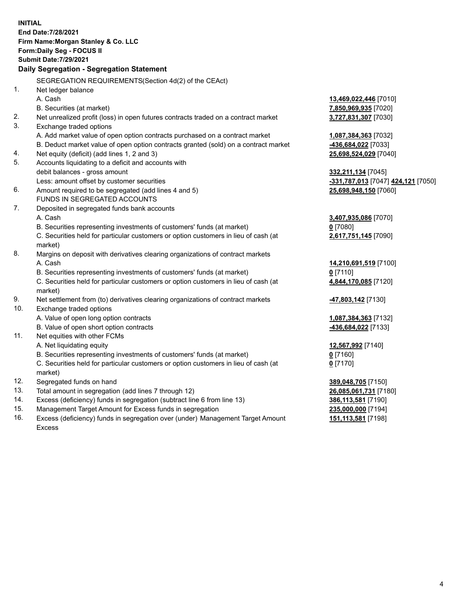**INITIAL End Date:7/28/2021 Firm Name:Morgan Stanley & Co. LLC Form:Daily Seg - FOCUS II Submit Date:7/29/2021 Daily Segregation - Segregation Statement** SEGREGATION REQUIREMENTS(Section 4d(2) of the CEAct) 1. Net ledger balance A. Cash **13,469,022,446** [7010] B. Securities (at market) **7,850,969,935** [7020] 2. Net unrealized profit (loss) in open futures contracts traded on a contract market **3,727,831,307** [7030] 3. Exchange traded options A. Add market value of open option contracts purchased on a contract market **1,087,384,363** [7032] B. Deduct market value of open option contracts granted (sold) on a contract market **-436,684,022** [7033] 4. Net equity (deficit) (add lines 1, 2 and 3) **25,698,524,029** [7040] 5. Accounts liquidating to a deficit and accounts with debit balances - gross amount **332,211,134** [7045] Less: amount offset by customer securities **-331,787,013** [7047] **424,121** [7050] 6. Amount required to be segregated (add lines 4 and 5) **25,698,948,150** [7060] FUNDS IN SEGREGATED ACCOUNTS 7. Deposited in segregated funds bank accounts A. Cash **3,407,935,086** [7070] B. Securities representing investments of customers' funds (at market) **0** [7080] C. Securities held for particular customers or option customers in lieu of cash (at market) **2,617,751,145** [7090] 8. Margins on deposit with derivatives clearing organizations of contract markets A. Cash **14,210,691,519** [7100] B. Securities representing investments of customers' funds (at market) **0** [7110] C. Securities held for particular customers or option customers in lieu of cash (at market) **4,844,170,085** [7120] 9. Net settlement from (to) derivatives clearing organizations of contract markets **-47,803,142** [7130] 10. Exchange traded options A. Value of open long option contracts **1,087,384,363** [7132] B. Value of open short option contracts **-436,684,022** [7133] 11. Net equities with other FCMs A. Net liquidating equity **12,567,992** [7140] B. Securities representing investments of customers' funds (at market) **0** [7160] C. Securities held for particular customers or option customers in lieu of cash (at market) **0** [7170] 12. Segregated funds on hand **389,048,705** [7150] 13. Total amount in segregation (add lines 7 through 12) **26,085,061,731** [7180] 14. Excess (deficiency) funds in segregation (subtract line 6 from line 13) **386,113,581** [7190] 15. Management Target Amount for Excess funds in segregation **235,000,000** [7194]

16. Excess (deficiency) funds in segregation over (under) Management Target Amount Excess

**151,113,581** [7198]